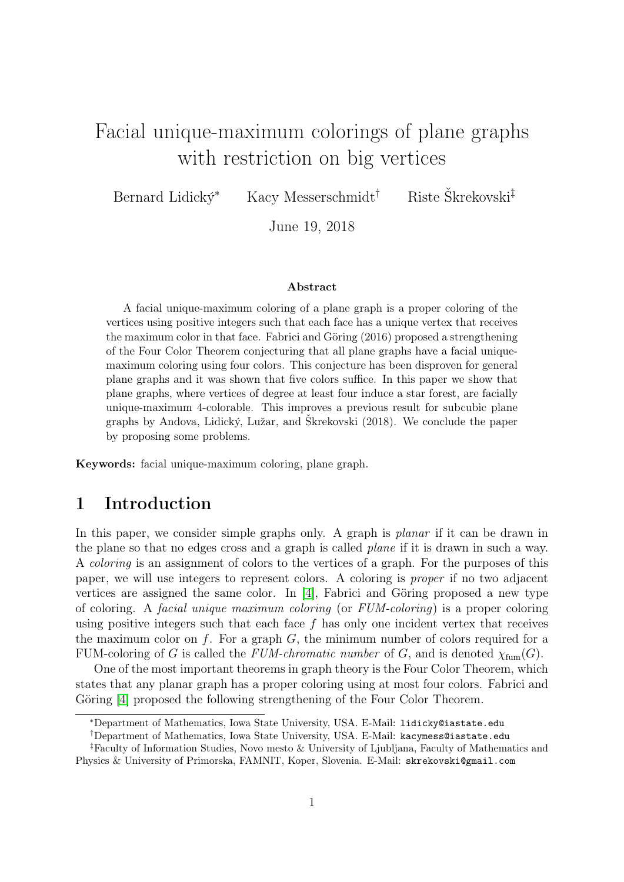# Facial unique-maximum colorings of plane graphs with restriction on big vertices

Bernard Lidický<sup>∗</sup> Kacy Messerschmidt† Riste Škrekovski‡

June 19, 2018

#### Abstract

A facial unique-maximum coloring of a plane graph is a proper coloring of the vertices using positive integers such that each face has a unique vertex that receives the maximum color in that face. Fabrici and Göring (2016) proposed a strengthening of the Four Color Theorem conjecturing that all plane graphs have a facial uniquemaximum coloring using four colors. This conjecture has been disproven for general plane graphs and it was shown that five colors suffice. In this paper we show that plane graphs, where vertices of degree at least four induce a star forest, are facially unique-maximum 4-colorable. This improves a previous result for subcubic plane graphs by Andova, Lidický, Lužar, and Škrekovski (2018). We conclude the paper by proposing some problems.

Keywords: facial unique-maximum coloring, plane graph.

### 1 Introduction

In this paper, we consider simple graphs only. A graph is *planar* if it can be drawn in the plane so that no edges cross and a graph is called plane if it is drawn in such a way. A coloring is an assignment of colors to the vertices of a graph. For the purposes of this paper, we will use integers to represent colors. A coloring is proper if no two adjacent vertices are assigned the same color. In [\[4\]](#page-6-0), Fabrici and Göring proposed a new type of coloring. A facial unique maximum coloring (or FUM-coloring) is a proper coloring using positive integers such that each face  $f$  has only one incident vertex that receives the maximum color on f. For a graph  $G$ , the minimum number of colors required for a FUM-coloring of G is called the FUM-chromatic number of G, and is denoted  $\chi_{\text{fum}}(G)$ .

One of the most important theorems in graph theory is the Four Color Theorem, which states that any planar graph has a proper coloring using at most four colors. Fabrici and Göring [\[4\]](#page-6-0) proposed the following strengthening of the Four Color Theorem.

<sup>∗</sup>Department of Mathematics, Iowa State University, USA. E-Mail: lidicky@iastate.edu

<sup>†</sup>Department of Mathematics, Iowa State University, USA. E-Mail: kacymess@iastate.edu

<sup>‡</sup>Faculty of Information Studies, Novo mesto & University of Ljubljana, Faculty of Mathematics and Physics & University of Primorska, FAMNIT, Koper, Slovenia. E-Mail: skrekovski@gmail.com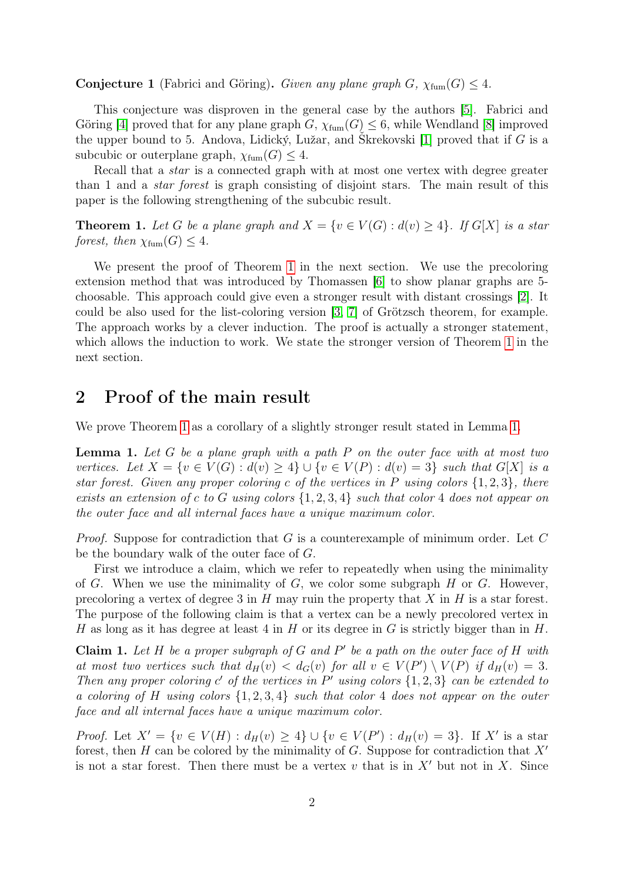#### **Conjecture 1** (Fabrici and Göring). Given any plane graph G,  $\chi_{\text{fum}}(G) \leq 4$ .

This conjecture was disproven in the general case by the authors [\[5\]](#page-6-1). Fabrici and Göring [\[4\]](#page-6-0) proved that for any plane graph  $G$ ,  $\chi_{\text{fum}}(G) \leq 6$ , while Wendland [\[8\]](#page-6-2) improved the upper bound to 5. Andova, Lidický, Lužar, and Škrekovski [\[1\]](#page-6-3) proved that if G is a subcubic or outerplane graph,  $\chi_{\text{fum}}(G) \leq 4$ .

Recall that a *star* is a connected graph with at most one vertex with degree greater than 1 and a star forest is graph consisting of disjoint stars. The main result of this paper is the following strengthening of the subcubic result.

<span id="page-1-0"></span>**Theorem 1.** Let G be a plane graph and  $X = \{v \in V(G) : d(v) \geq 4\}$ . If  $G[X]$  is a star forest, then  $\chi_{\text{fum}}(G) \leq 4$ .

We present the proof of Theorem [1](#page-1-0) in the next section. We use the precoloring extension method that was introduced by Thomassen [\[6\]](#page-6-4) to show planar graphs are 5 choosable. This approach could give even a stronger result with distant crossings [\[2\]](#page-6-5). It could be also used for the list-coloring version [\[3,](#page-6-6) [7\]](#page-6-7) of Grötzsch theorem, for example. The approach works by a clever induction. The proof is actually a stronger statement, which allows the induction to work. We state the stronger version of Theorem [1](#page-1-0) in the next section.

### 2 Proof of the main result

We prove Theorem [1](#page-1-0) as a corollary of a slightly stronger result stated in Lemma [1.](#page-1-1)

<span id="page-1-1"></span>**Lemma 1.** Let G be a plane graph with a path P on the outer face with at most two vertices. Let  $X = \{v \in V(G) : d(v) \geq 4\} \cup \{v \in V(P) : d(v) = 3\}$  such that  $G[X]$  is a star forest. Given any proper coloring c of the vertices in P using colors  $\{1,2,3\}$ , there exists an extension of c to G using colors  $\{1, 2, 3, 4\}$  such that color 4 does not appear on the outer face and all internal faces have a unique maximum color.

*Proof.* Suppose for contradiction that G is a counterexample of minimum order. Let  $C$ be the boundary walk of the outer face of G.

First we introduce a claim, which we refer to repeatedly when using the minimality of G. When we use the minimality of G, we color some subgraph  $H$  or G. However, precoloring a vertex of degree 3 in  $H$  may ruin the property that  $X$  in  $H$  is a star forest. The purpose of the following claim is that a vertex can be a newly precolored vertex in H as long as it has degree at least 4 in H or its degree in G is strictly bigger than in H.

<span id="page-1-2"></span>Claim 1. Let  $H$  be a proper subgraph of  $G$  and  $P'$  be a path on the outer face of  $H$  with at most two vertices such that  $d_H(v) < d_G(v)$  for all  $v \in V(P') \setminus V(P)$  if  $d_H(v) = 3$ . Then any proper coloring  $c'$  of the vertices in  $P'$  using colors  $\{1,2,3\}$  can be extended to a coloring of H using colors {1, 2, 3, 4} such that color 4 does not appear on the outer face and all internal faces have a unique maximum color.

*Proof.* Let  $X' = \{v \in V(H) : d_H(v) \ge 4\} \cup \{v \in V(P') : d_H(v) = 3\}$ . If X' is a star forest, then H can be colored by the minimality of G. Suppose for contradiction that  $X'$ is not a star forest. Then there must be a vertex  $v$  that is in  $X'$  but not in X. Since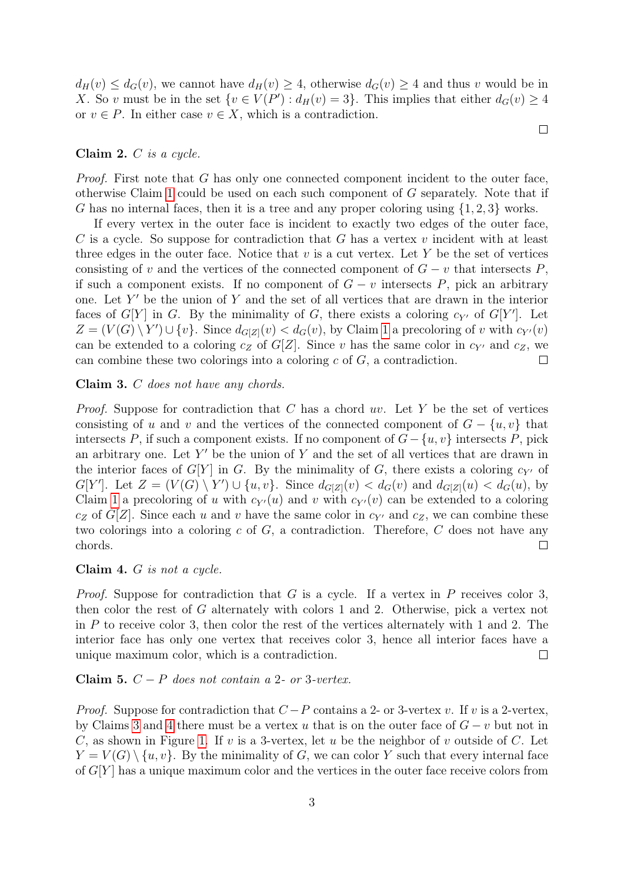$d_H(v) \leq d_G(v)$ , we cannot have  $d_H(v) \geq 4$ , otherwise  $d_G(v) \geq 4$  and thus v would be in X. So v must be in the set  $\{v \in V(P'): d_H(v) = 3\}$ . This implies that either  $d_G(v) \geq 4$ or  $v \in P$ . In either case  $v \in X$ , which is a contradiction.

 $\Box$ 

#### <span id="page-2-2"></span>Claim 2. C is a cycle.

Proof. First note that G has only one connected component incident to the outer face, otherwise Claim [1](#page-1-2) could be used on each such component of G separately. Note that if G has no internal faces, then it is a tree and any proper coloring using  $\{1, 2, 3\}$  works.

If every vertex in the outer face is incident to exactly two edges of the outer face, C is a cycle. So suppose for contradiction that G has a vertex  $v$  incident with at least three edges in the outer face. Notice that  $v$  is a cut vertex. Let  $Y$  be the set of vertices consisting of v and the vertices of the connected component of  $G - v$  that intersects P, if such a component exists. If no component of  $G - v$  intersects P, pick an arbitrary one. Let  $Y'$  be the union of Y and the set of all vertices that are drawn in the interior faces of  $G[Y]$  in G. By the minimality of G, there exists a coloring  $c_{Y'}$  of  $G[Y']$ . Let  $Z = (V(G) \setminus Y') \cup \{v\}$ . Since  $d_{G[Z]}(v) < d_G(v)$ , by Claim [1](#page-1-2) a precoloring of v with  $c_{Y'}(v)$ can be extended to a coloring  $c_Z$  of  $G[Z]$ . Since v has the same color in  $c_{Y'}$  and  $c_Z$ , we can combine these two colorings into a coloring  $c$  of  $G$ , a contradiction.  $\Box$ 

#### <span id="page-2-0"></span>Claim 3. C does not have any chords.

*Proof.* Suppose for contradiction that  $C$  has a chord  $uv$ . Let  $Y$  be the set of vertices consisting of u and v and the vertices of the connected component of  $G - \{u, v\}$  that intersects P, if such a component exists. If no component of  $G - \{u, v\}$  intersects P, pick an arbitrary one. Let  $Y'$  be the union of Y and the set of all vertices that are drawn in the interior faces of  $G[Y]$  in G. By the minimality of G, there exists a coloring  $c_{Y'}$  of  $G[Y']$ . Let  $Z = (V(G) \setminus Y') \cup \{u, v\}$ . Since  $d_{G[Z]}(v) < d_G(v)$  and  $d_{G[Z]}(u) < d_G(u)$ , by Claim [1](#page-1-2) a precoloring of u with  $c_{Y'}(u)$  and v with  $c_{Y'}(v)$  can be extended to a coloring  $c_Z$  of G[Z]. Since each u and v have the same color in  $c_{Y'}$  and  $c_Z$ , we can combine these two colorings into a coloring  $c$  of  $G$ , a contradiction. Therefore,  $C$  does not have any chords.  $\Box$ 

#### <span id="page-2-1"></span>Claim 4. G is not a cycle.

*Proof.* Suppose for contradiction that G is a cycle. If a vertex in P receives color 3, then color the rest of G alternately with colors 1 and 2. Otherwise, pick a vertex not in  $P$  to receive color 3, then color the rest of the vertices alternately with 1 and 2. The interior face has only one vertex that receives color 3, hence all interior faces have a unique maximum color, which is a contradiction.  $\Box$ 

#### <span id="page-2-3"></span>Claim 5.  $C - P$  does not contain a 2- or 3-vertex.

*Proof.* Suppose for contradiction that  $C - P$  contains a 2- or 3-vertex v. If v is a 2-vertex, by Claims [3](#page-2-0) and [4](#page-2-1) there must be a vertex u that is on the outer face of  $G - v$  but not in C, as shown in Figure [1.](#page-3-0) If v is a 3-vertex, let u be the neighbor of v outside of C. Let  $Y = V(G) \setminus \{u, v\}$ . By the minimality of G, we can color Y such that every internal face of  $G[Y]$  has a unique maximum color and the vertices in the outer face receive colors from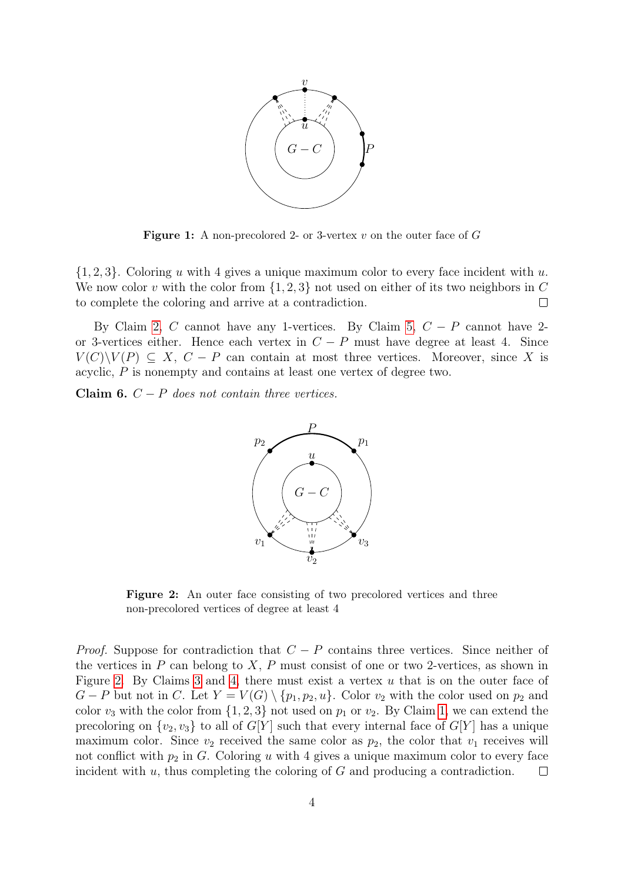<span id="page-3-0"></span>

**Figure 1:** A non-precolored 2- or 3-vertex v on the outer face of  $G$ 

 $\{1, 2, 3\}$ . Coloring u with 4 gives a unique maximum color to every face incident with u. We now color v with the color from  $\{1, 2, 3\}$  not used on either of its two neighbors in C to complete the coloring and arrive at a contradiction. to complete the coloring and arrive at a contradiction.

By Claim [2,](#page-2-2) C cannot have any 1-vertices. By Claim [5,](#page-2-3)  $C - P$  cannot have 2or 3-vertices either. Hence each vertex in  $C - P$  must have degree at least 4. Since  $V(C)\backslash V(P) \subseteq X$ ,  $C - P$  can contain at most three vertices. Moreover, since X is acyclic, P is nonempty and contains at least one vertex of degree two.

<span id="page-3-2"></span><span id="page-3-1"></span>Claim 6.  $C - P$  does not contain three vertices.



Figure 2: An outer face consisting of two precolored vertices and three non-precolored vertices of degree at least 4

*Proof.* Suppose for contradiction that  $C - P$  contains three vertices. Since neither of the vertices in  $P$  can belong to  $X$ ,  $P$  must consist of one or two 2-vertices, as shown in Figure [2.](#page-3-1) By Claims [3](#page-2-0) and [4,](#page-2-1) there must exist a vertex  $u$  that is on the outer face of  $G - P$  but not in C. Let  $Y = V(G) \setminus \{p_1, p_2, u\}$ . Color  $v_2$  with the color used on  $p_2$  and color  $v_3$  with the color from  $\{1, 2, 3\}$  not used on  $p_1$  or  $v_2$ . By Claim [1,](#page-1-2) we can extend the precoloring on  $\{v_2, v_3\}$  to all of  $G[Y]$  such that every internal face of  $G[Y]$  has a unique maximum color. Since  $v_2$  received the same color as  $p_2$ , the color that  $v_1$  receives will not conflict with  $p_2$  in G. Coloring u with 4 gives a unique maximum color to every face incident with  $u$ , thus completing the coloring of  $G$  and producing a contradiction.  $\Box$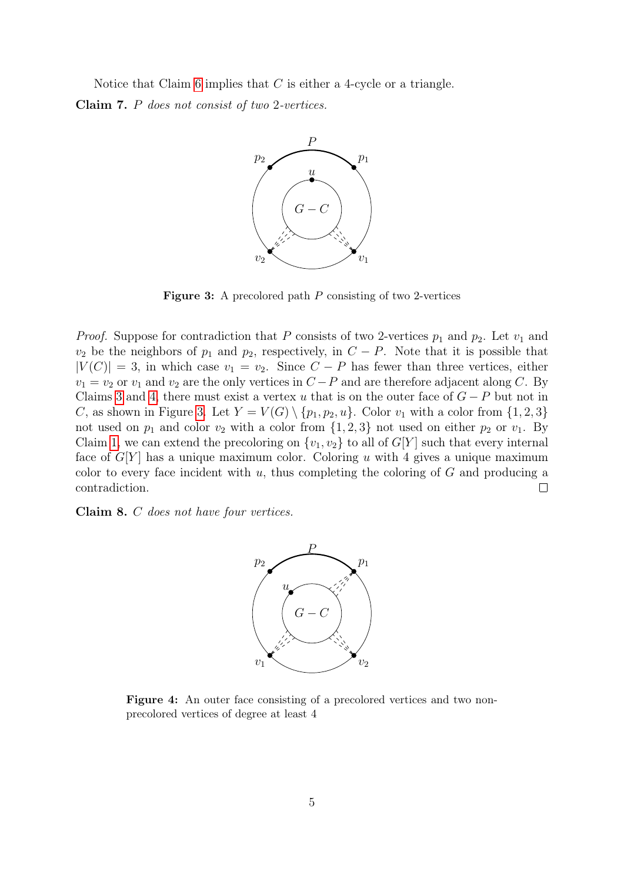<span id="page-4-0"></span>Notice that Claim [6](#page-3-2) implies that  $C$  is either a 4-cycle or a triangle. Claim 7. P does not consist of two 2-vertices.



Figure 3: A precolored path P consisting of two 2-vertices

*Proof.* Suppose for contradiction that P consists of two 2-vertices  $p_1$  and  $p_2$ . Let  $v_1$  and  $v_2$  be the neighbors of  $p_1$  and  $p_2$ , respectively, in  $C-P$ . Note that it is possible that  $|V(C)| = 3$ , in which case  $v_1 = v_2$ . Since  $C - P$  has fewer than three vertices, either  $v_1 = v_2$  or  $v_1$  and  $v_2$  are the only vertices in  $C - P$  and are therefore adjacent along C. By Claims [3](#page-2-0) and [4,](#page-2-1) there must exist a vertex u that is on the outer face of  $G - P$  but not in C, as shown in Figure [3.](#page-4-0) Let  $Y = V(G) \setminus \{p_1, p_2, u\}$ . Color  $v_1$  with a color from  $\{1, 2, 3\}$ not used on  $p_1$  and color  $v_2$  with a color from  $\{1, 2, 3\}$  not used on either  $p_2$  or  $v_1$ . By Claim [1,](#page-1-2) we can extend the precoloring on  $\{v_1, v_2\}$  to all of  $G[Y]$  such that every internal face of  $G[Y]$  has a unique maximum color. Coloring u with 4 gives a unique maximum color to every face incident with  $u$ , thus completing the coloring of  $G$  and producing a contradiction.  $\Box$ 

<span id="page-4-1"></span>Claim 8. C does not have four vertices.



Figure 4: An outer face consisting of a precolored vertices and two nonprecolored vertices of degree at least 4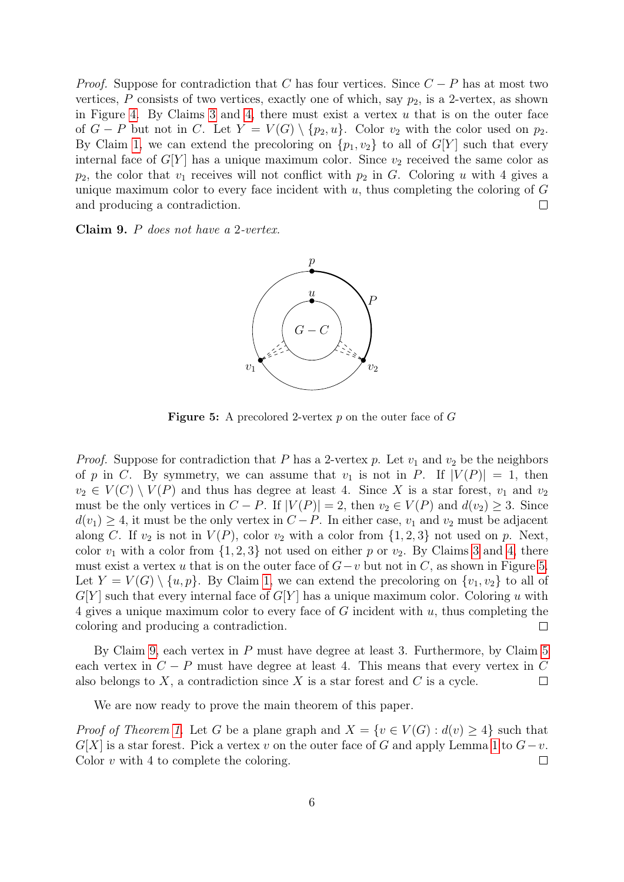*Proof.* Suppose for contradiction that C has four vertices. Since  $C - P$  has at most two vertices, P consists of two vertices, exactly one of which, say  $p_2$ , is a 2-vertex, as shown in Figure [4.](#page-4-1) By Claims [3](#page-2-0) and [4,](#page-2-1) there must exist a vertex  $u$  that is on the outer face of  $G - P$  but not in C. Let  $Y = V(G) \setminus \{p_2, u\}$ . Color  $v_2$  with the color used on  $p_2$ . By Claim [1,](#page-1-2) we can extend the precoloring on  $\{p_1, v_2\}$  to all of  $G[Y]$  such that every internal face of  $G[Y]$  has a unique maximum color. Since  $v_2$  received the same color as  $p_2$ , the color that  $v_1$  receives will not conflict with  $p_2$  in G. Coloring u with 4 gives a unique maximum color to every face incident with  $u$ , thus completing the coloring of  $G$ and producing a contradiction.  $\Box$ 

<span id="page-5-1"></span><span id="page-5-0"></span>Claim 9. P does not have a 2-vertex.



**Figure 5:** A precolored 2-vertex p on the outer face of G

*Proof.* Suppose for contradiction that P has a 2-vertex p. Let  $v_1$  and  $v_2$  be the neighbors of p in C. By symmetry, we can assume that  $v_1$  is not in P. If  $|V(P)| = 1$ , then  $v_2 \in V(C) \setminus V(P)$  and thus has degree at least 4. Since X is a star forest,  $v_1$  and  $v_2$ must be the only vertices in  $C - P$ . If  $|V(P)| = 2$ , then  $v_2 \in V(P)$  and  $d(v_2) \geq 3$ . Since  $d(v_1) \geq 4$ , it must be the only vertex in  $C-P$ . In either case,  $v_1$  and  $v_2$  must be adjacent along C. If  $v_2$  is not in  $V(P)$ , color  $v_2$  with a color from  $\{1, 2, 3\}$  not used on p. Next, color  $v_1$  with a color from  $\{1, 2, 3\}$  $\{1, 2, 3\}$  $\{1, 2, 3\}$  not used on either p or  $v_2$ . By Claims 3 and [4,](#page-2-1) there must exist a vertex u that is on the outer face of  $G-v$  but not in C, as shown in Figure [5.](#page-5-0) Let  $Y = V(G) \setminus \{u, p\}$ . By Claim [1,](#page-1-2) we can extend the precoloring on  $\{v_1, v_2\}$  to all of  $G[Y]$  such that every internal face of  $G[Y]$  has a unique maximum color. Coloring u with 4 gives a unique maximum color to every face of G incident with u, thus completing the coloring and producing a contradiction.  $\Box$ 

By Claim [9,](#page-5-1) each vertex in P must have degree at least 3. Furthermore, by Claim [5](#page-2-3) each vertex in  $C - P$  must have degree at least 4. This means that every vertex in C also belongs to X, a contradiction since X is a star forest and C is a cycle. also belongs to  $X$ , a contradiction since  $X$  is a star forest and  $C$  is a cycle.

We are now ready to prove the main theorem of this paper.

*Proof of Theorem [1.](#page-1-0)* Let G be a plane graph and  $X = \{v \in V(G) : d(v) \geq 4\}$  such that  $G[X]$  is a star forest. Pick a vertex v on the outer face of G and apply Lemma [1](#page-1-1) to  $G-v$ .<br>Color v with 4 to complete the coloring. Color  $v$  with 4 to complete the coloring.